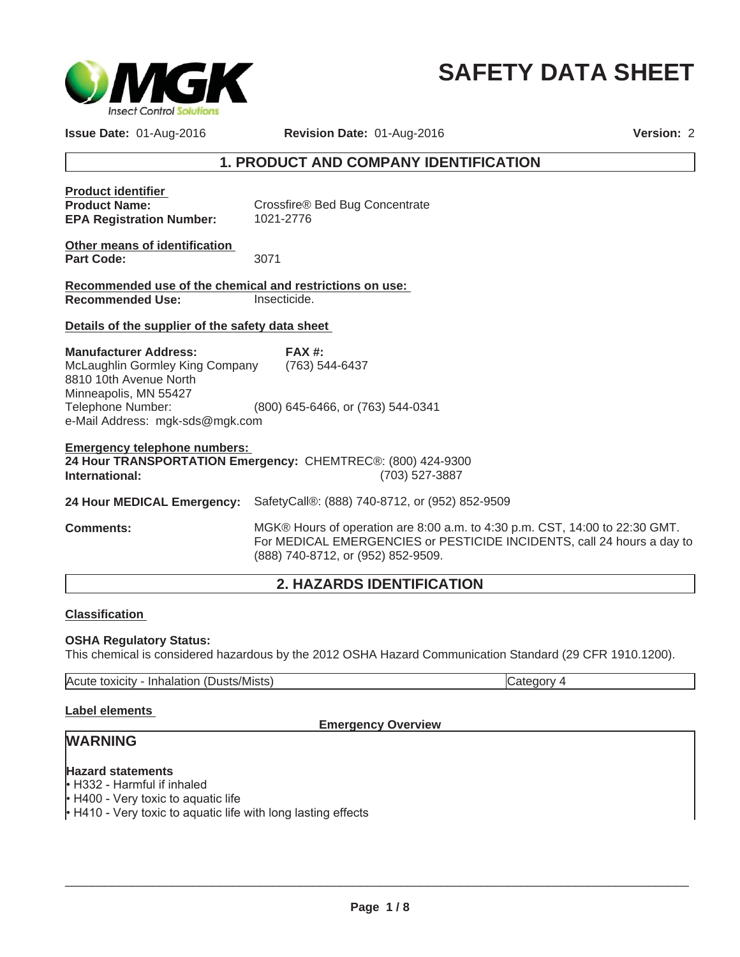

# **SAFETY DATA SHEET**

**Issue Date:** 01-Aug-2016 **Revision Date:** 01-Aug-2016

**Version:** 2

## **1. PRODUCT AND COMPANY IDENTIFICATION**

| <b>Product identifier</b><br><b>Product Name:</b><br><b>EPA Registration Number:</b>                                              | Crossfire® Bed Bug Concentrate<br>1021-2776                                   |  |
|-----------------------------------------------------------------------------------------------------------------------------------|-------------------------------------------------------------------------------|--|
| Other means of identification<br><b>Part Code:</b>                                                                                | 3071                                                                          |  |
| Recommended use of the chemical and restrictions on use:                                                                          |                                                                               |  |
| <b>Recommended Use:</b>                                                                                                           | Insecticide.                                                                  |  |
| Details of the supplier of the safety data sheet                                                                                  |                                                                               |  |
| <b>Manufacturer Address:</b><br>McLaughlin Gormley King Company (763) 544-6437<br>8810 10th Avenue North<br>Minneapolis, MN 55427 | $FAX#$ :                                                                      |  |
| Telephone Number:<br>e-Mail Address: mgk-sds@mgk.com                                                                              | (800) 645-6466, or (763) 544-0341                                             |  |
| <b>Emergency telephone numbers:</b><br>International:                                                                             | 24 Hour TRANSPORTATION Emergency: CHEMTREC®: (800) 424-9300<br>(703) 527-3887 |  |
|                                                                                                                                   | 24 Hour MEDICAL Emergency: SafetyCall®: (888) 740-8712, or (952) 852-9509     |  |
|                                                                                                                                   | $\mathbf{1}$<br>$\sim$ $\sim$ $\sim$ $\sim$                                   |  |

**Comments:** MGK® Hours of operation are 8:00 a.m. to 4:30 p.m. CST, 14:00 to 22:30 GMT. For MEDICAL EMERGENCIES or PESTICIDE INCIDENTS, call 24 hours a day to (888) 740-8712, or (952) 852-9509.

## **2. HAZARDS IDENTIFICATION**

#### **Classification**

#### **OSHA Regulatory Status:**

This chemical is considered hazardous by the 2012 OSHA Hazard Communication Standard (29 CFR 1910.1200).

Acute toxicity - Inhalation (Dusts/Mists) Category 4

#### **Label elements**

#### **Emergency Overview**

## **WARNING**

## **Hazard statements**

• H332 - Harmful if inhaled

• H400 - Very toxic to aquatic life

 $\cdot$  H410 - Very toxic to aquatic life with long lasting effects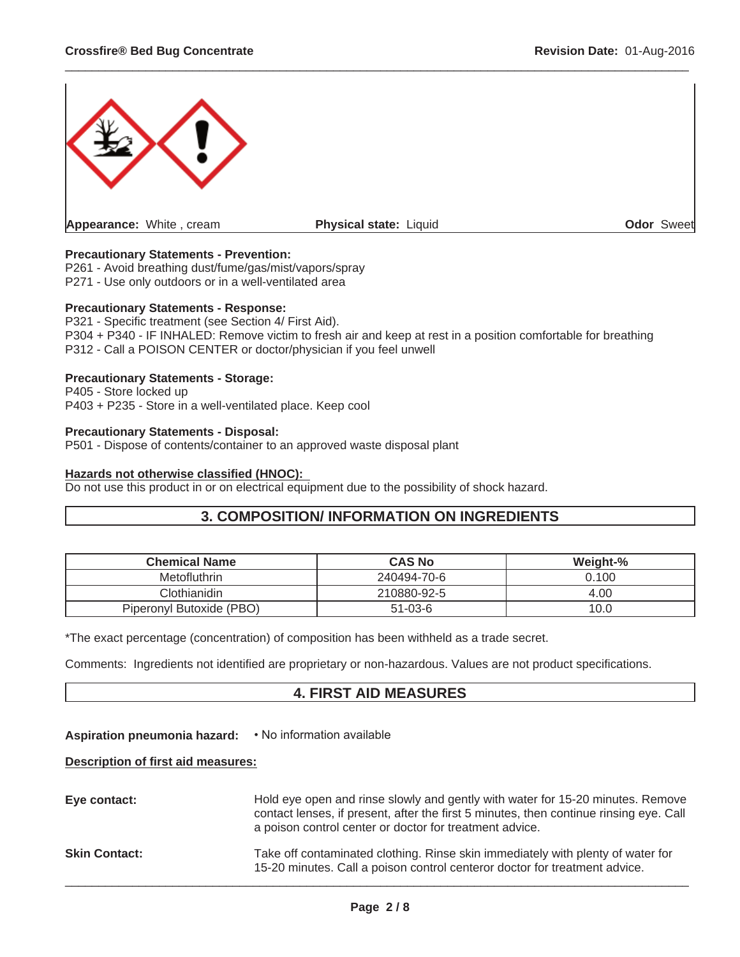

 $\_$  ,  $\_$  ,  $\_$  ,  $\_$  ,  $\_$  ,  $\_$  ,  $\_$  ,  $\_$  ,  $\_$  ,  $\_$  ,  $\_$  ,  $\_$  ,  $\_$  ,  $\_$  ,  $\_$  ,  $\_$  ,  $\_$  ,  $\_$  ,  $\_$  ,  $\_$  ,  $\_$  ,  $\_$  ,  $\_$  ,  $\_$  ,  $\_$  ,  $\_$  ,  $\_$  ,  $\_$  ,  $\_$  ,  $\_$  ,  $\_$  ,  $\_$  ,  $\_$  ,  $\_$  ,  $\_$  ,  $\_$  ,  $\_$  ,

#### **Precautionary Statements - Prevention:**

P261 - Avoid breathing dust/fume/gas/mist/vapors/spray P271 - Use only outdoors or in a well-ventilated area

#### **Precautionary Statements - Response:**

P321 - Specific treatment (see Section 4/ First Aid). P304 + P340 - IF INHALED: Remove victim to fresh air and keep at rest in a position comfortable for breathing P312 - Call a POISON CENTER or doctor/physician if you feel unwell

#### **Precautionary Statements - Storage:**

P405 - Store locked up P403 + P235 - Store in a well-ventilated place. Keep cool

#### **Precautionary Statements - Disposal:**

P501 - Dispose of contents/container to an approved waste disposal plant

#### **Hazards not otherwise classified (HNOC):**

Do not use this product in or on electrical equipment due to the possibility of shock hazard.

### **3. COMPOSITION/ INFORMATION ON INGREDIENTS**

| <b>Chemical Name</b>     | <b>CAS No</b> | Weight-% |
|--------------------------|---------------|----------|
| <b>Metofluthrin</b>      | 240494-70-6   | 0.100    |
| Clothianidin             | 210880-92-5   | 4.00     |
| Piperonyl Butoxide (PBO) | $51 - 03 - 6$ | 10.0     |

\*The exact percentage (concentration) of composition has been withheld as a trade secret.

Comments: Ingredients not identified are proprietary or non-hazardous. Values are not product specifications.

## **4. FIRST AID MEASURES**

#### **Aspiration pneumonia hazard:**  $\cdot$  No information available

#### **Description of first aid measures:**

| Eye contact:         | Hold eye open and rinse slowly and gently with water for 15-20 minutes. Remove<br>contact lenses, if present, after the first 5 minutes, then continue rinsing eye. Call<br>a poison control center or doctor for treatment advice. |
|----------------------|-------------------------------------------------------------------------------------------------------------------------------------------------------------------------------------------------------------------------------------|
| <b>Skin Contact:</b> | Take off contaminated clothing. Rinse skin immediately with plenty of water for<br>15-20 minutes. Call a poison control centeror doctor for treatment advice.                                                                       |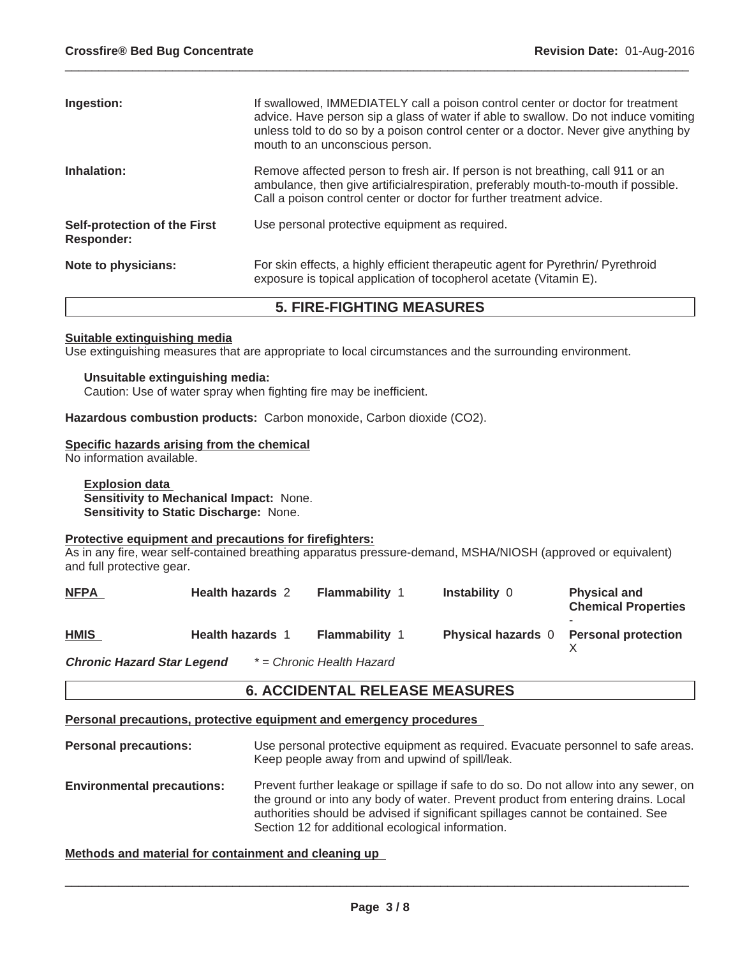| Ingestion:                                        | If swallowed, IMMEDIATELY call a poison control center or doctor for treatment<br>advice. Have person sip a glass of water if able to swallow. Do not induce vomiting<br>unless told to do so by a poison control center or a doctor. Never give anything by<br>mouth to an unconscious person. |
|---------------------------------------------------|-------------------------------------------------------------------------------------------------------------------------------------------------------------------------------------------------------------------------------------------------------------------------------------------------|
| Inhalation:                                       | Remove affected person to fresh air. If person is not breathing, call 911 or an<br>ambulance, then give artificial respiration, preferably mouth-to-mouth if possible.<br>Call a poison control center or doctor for further treatment advice.                                                  |
| Self-protection of the First<br><b>Responder:</b> | Use personal protective equipment as required.                                                                                                                                                                                                                                                  |
| Note to physicians:                               | For skin effects, a highly efficient therapeutic agent for Pyrethrin/ Pyrethroid<br>exposure is topical application of tocopherol acetate (Vitamin E).                                                                                                                                          |

 $\_$  ,  $\_$  ,  $\_$  ,  $\_$  ,  $\_$  ,  $\_$  ,  $\_$  ,  $\_$  ,  $\_$  ,  $\_$  ,  $\_$  ,  $\_$  ,  $\_$  ,  $\_$  ,  $\_$  ,  $\_$  ,  $\_$  ,  $\_$  ,  $\_$  ,  $\_$  ,  $\_$  ,  $\_$  ,  $\_$  ,  $\_$  ,  $\_$  ,  $\_$  ,  $\_$  ,  $\_$  ,  $\_$  ,  $\_$  ,  $\_$  ,  $\_$  ,  $\_$  ,  $\_$  ,  $\_$  ,  $\_$  ,  $\_$  ,

## **5. FIRE-FIGHTING MEASURES**

#### **Suitable extinguishing media**

Use extinguishing measures that are appropriate to local circumstances and the surrounding environment.

#### **Unsuitable extinguishing media:**

Caution: Use of water spray when fighting fire may be inefficient.

**Hazardous combustion products:** Carbon monoxide, Carbon dioxide (CO2).

#### **Specific hazards arising from the chemical**

No information available.

**Explosion data Sensitivity to Mechanical Impact:** None. **Sensitivity to Static Discharge:** None.

#### **Protective equipment and precautions for firefighters:**

As in any fire, wear self-contained breathing apparatus pressure-demand, MSHA/NIOSH (approved or equivalent) and full protective gear.

| <b>NFPA</b>                | <b>Health hazards 2</b> | <b>Flammability 1</b>            | <b>Instability 0</b>      | <b>Physical and</b><br><b>Chemical Properties</b> |
|----------------------------|-------------------------|----------------------------------|---------------------------|---------------------------------------------------|
| <b>HMIS</b>                | <b>Health hazards 1</b> | <b>Flammability 1</b>            | <b>Physical hazards</b> 0 | <b>Personal protection</b>                        |
| Chronic Horord Ciarl opend |                         | $*$ $\Box$ Chronic Hoolth Hozard |                           |                                                   |

**Chronic Hazard Star Legend** *\* = Chronic Health Hazard*

## **6. ACCIDENTAL RELEASE MEASURES**

#### **Personal precautions, protective equipment and emergency procedures**

- **Personal precautions:** Use personal protective equipment as required. Evacuate personnel to safe areas. Keep people away from and upwind of spill/leak. **Environmental precautions:** Prevent further leakage or spillage if safe to do so. Do not allow into any sewer, on
- the ground or into any body of water. Prevent product from entering drains. Local authorities should be advised if significant spillages cannot be contained. See Section 12 for additional ecological information.

#### **Methods and material for containment and cleaning up**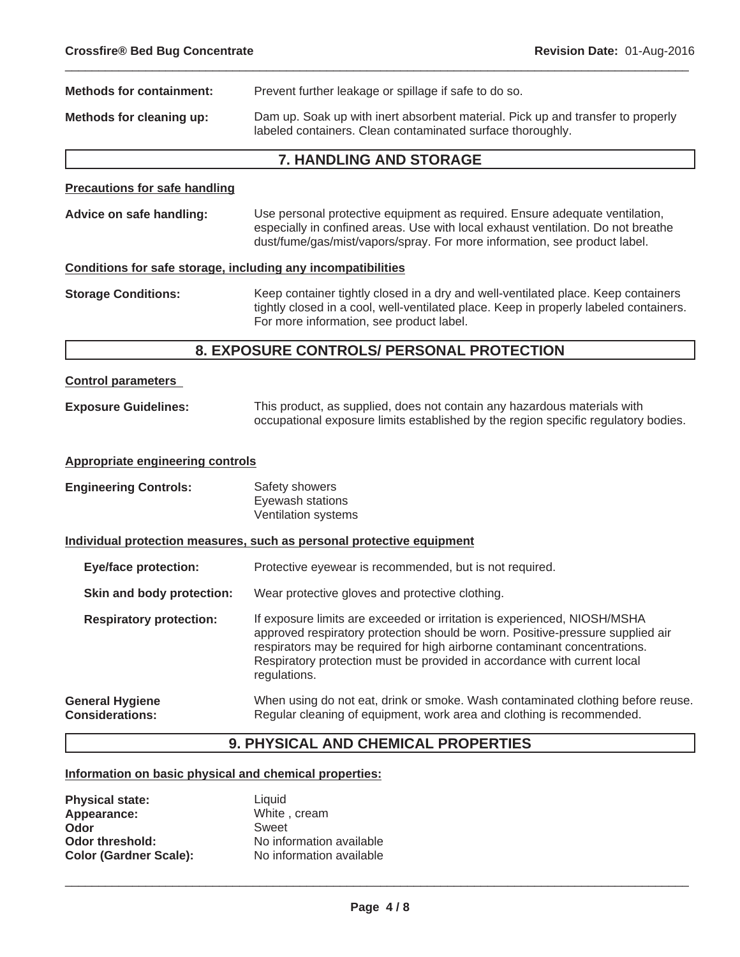| <b>Methods for containment:</b>      | Prevent further leakage or spillage if safe to do so.                                                                                                           |
|--------------------------------------|-----------------------------------------------------------------------------------------------------------------------------------------------------------------|
| Methods for cleaning up:             | Dam up. Soak up with inert absorbent material. Pick up and transfer to properly<br>labeled containers. Clean contaminated surface thoroughly.                   |
|                                      | <b>7. HANDLING AND STORAGE</b>                                                                                                                                  |
| <b>Precautions for safe handling</b> |                                                                                                                                                                 |
| Advice on safe handling:             | Use personal protective equipment as required. Ensure adequate ventilation,<br>especially in confined areas. Use with local exhaust ventilation. Do not breathe |

 $\_$  ,  $\_$  ,  $\_$  ,  $\_$  ,  $\_$  ,  $\_$  ,  $\_$  ,  $\_$  ,  $\_$  ,  $\_$  ,  $\_$  ,  $\_$  ,  $\_$  ,  $\_$  ,  $\_$  ,  $\_$  ,  $\_$  ,  $\_$  ,  $\_$  ,  $\_$  ,  $\_$  ,  $\_$  ,  $\_$  ,  $\_$  ,  $\_$  ,  $\_$  ,  $\_$  ,  $\_$  ,  $\_$  ,  $\_$  ,  $\_$  ,  $\_$  ,  $\_$  ,  $\_$  ,  $\_$  ,  $\_$  ,  $\_$  ,

#### **Conditions for safe storage, including any incompatibilities**

**Storage Conditions:** Keep container tightly closed in a dry and well-ventilated place. Keep containers tightly closed in a cool, well-ventilated place. Keep in properly labeled containers. For more information, see product label.

dust/fume/gas/mist/vapors/spray. For more information, see product label.

### **8. EXPOSURE CONTROLS/ PERSONAL PROTECTION**

| <b>Control parameters</b> |
|---------------------------|
|                           |

**Exposure Guidelines:** This product, as supplied, does not contain any hazardous materials with occupational exposure limits established by the region specific regulatory bodies.

#### **Appropriate engineering controls**

| <b>Engineering Controls:</b> | Safety showers      |
|------------------------------|---------------------|
|                              | Eyewash stations    |
|                              | Ventilation systems |

**Individual protection measures, such as personal protective equipment**

**Eye/face protection:** Protective eyewear is recommended, but is not required.

- **Skin and body protection:** Wear protective gloves and protective clothing.
- **Respiratory protection:** If exposure limits are exceeded or irritation is experienced, NIOSH/MSHA approved respiratory protection should be worn. Positive-pressure supplied air respirators may be required for high airborne contaminant concentrations. Respiratory protection must be provided in accordance with current local regulations.

#### **General Hygiene Considerations:** When using do not eat, drink or smoke. Wash contaminated clothing before reuse. Regular cleaning of equipment, work area and clothing is recommended.

## **9. PHYSICAL AND CHEMICAL PROPERTIES**

#### **Information on basic physical and chemical properties:**

| <b>Physical state:</b>        | Liauid                   |
|-------------------------------|--------------------------|
| Appearance:                   | White, cream             |
| Odor                          | Sweet                    |
| Odor threshold:               | No information available |
| <b>Color (Gardner Scale):</b> | No information available |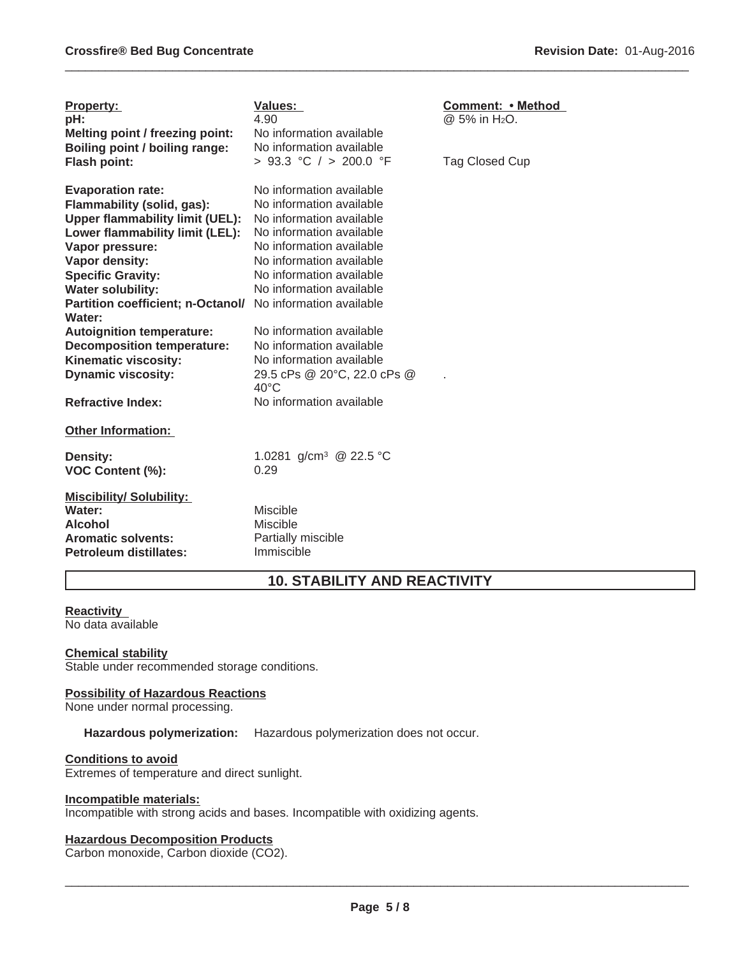| <b>Property:</b><br>pH:<br>Melting point / freezing point:<br>Boiling point / boiling range:<br><b>Flash point:</b>                                                                                                              | Values:<br>4.90<br>No information available<br>No information available<br>> 93.3 °C / > 200.0 °F                                                                                                                            | <b>Comment: • Method</b><br>@ 5% in H <sub>2</sub> O.<br>Tag Closed Cup |
|----------------------------------------------------------------------------------------------------------------------------------------------------------------------------------------------------------------------------------|------------------------------------------------------------------------------------------------------------------------------------------------------------------------------------------------------------------------------|-------------------------------------------------------------------------|
| <b>Evaporation rate:</b><br>Flammability (solid, gas):<br><b>Upper flammability limit (UEL):</b><br>Lower flammability limit (LEL):<br>Vapor pressure:<br>Vapor density:<br><b>Specific Gravity:</b><br><b>Water solubility:</b> | No information available<br>No information available<br>No information available<br>No information available<br>No information available<br>No information available<br>No information available<br>No information available |                                                                         |
| Partition coefficient; n-Octanol/<br>Water:<br><b>Autoignition temperature:</b><br><b>Decomposition temperature:</b><br>Kinematic viscosity:<br><b>Dynamic viscosity:</b><br><b>Refractive Index:</b>                            | No information available<br>No information available<br>No information available<br>No information available<br>29.5 cPs @ 20°C, 22.0 cPs @<br>$40^{\circ}$ C<br>No information available                                    |                                                                         |
| <b>Other Information:</b><br>Density:<br><b>VOC Content (%):</b>                                                                                                                                                                 | 1.0281 g/cm <sup>3</sup> @ 22.5 °C<br>0.29                                                                                                                                                                                   |                                                                         |
| <b>Miscibility/Solubility:</b><br>Water:<br><b>Alcohol</b><br><b>Aromatic solvents:</b><br><b>Petroleum distillates:</b>                                                                                                         | <b>Miscible</b><br>Miscible<br>Partially miscible<br>Immiscible                                                                                                                                                              |                                                                         |

## **10. STABILITY AND REACTIVITY**

 $\_$  ,  $\_$  ,  $\_$  ,  $\_$  ,  $\_$  ,  $\_$  ,  $\_$  ,  $\_$  ,  $\_$  ,  $\_$  ,  $\_$  ,  $\_$  ,  $\_$  ,  $\_$  ,  $\_$  ,  $\_$  ,  $\_$  ,  $\_$  ,  $\_$  ,  $\_$  ,  $\_$  ,  $\_$  ,  $\_$  ,  $\_$  ,  $\_$  ,  $\_$  ,  $\_$  ,  $\_$  ,  $\_$  ,  $\_$  ,  $\_$  ,  $\_$  ,  $\_$  ,  $\_$  ,  $\_$  ,  $\_$  ,  $\_$  ,

## **Reactivity**

No data available

#### **Chemical stability**

Stable under recommended storage conditions.

## **Possibility of Hazardous Reactions**

None under normal processing.

**Hazardous polymerization:** Hazardous polymerization does not occur.

#### **Conditions to avoid**

Extremes of temperature and direct sunlight.

#### **Incompatible materials:**

Incompatible with strong acids and bases. Incompatible with oxidizing agents.

## **Hazardous Decomposition Products**

Carbon monoxide, Carbon dioxide (CO2).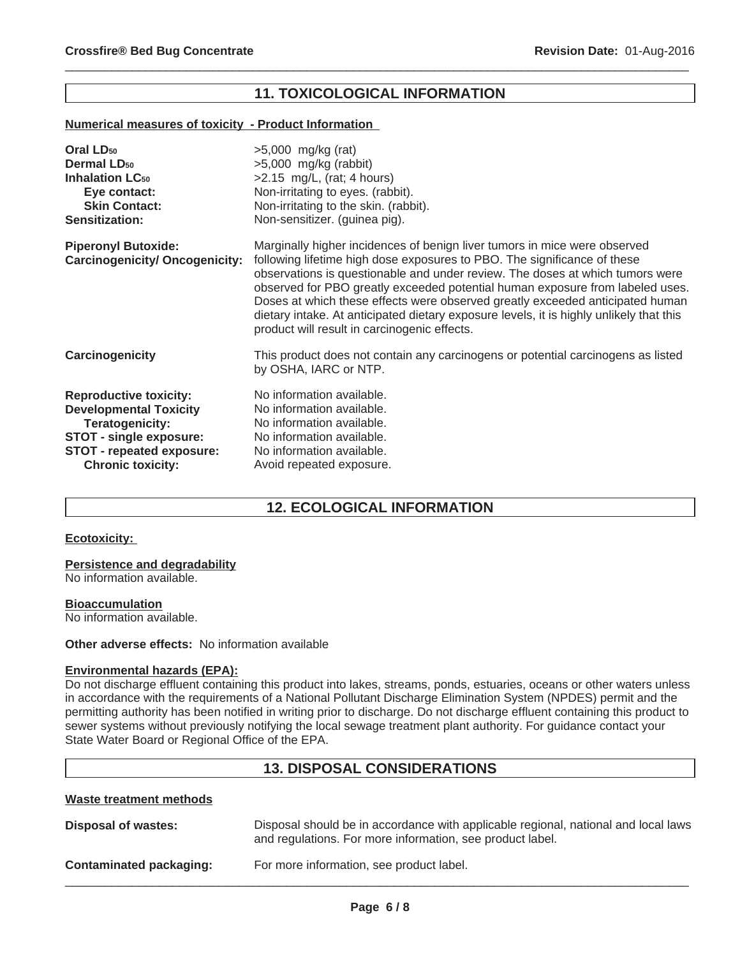## **11. TOXICOLOGICAL INFORMATION**

 $\_$  ,  $\_$  ,  $\_$  ,  $\_$  ,  $\_$  ,  $\_$  ,  $\_$  ,  $\_$  ,  $\_$  ,  $\_$  ,  $\_$  ,  $\_$  ,  $\_$  ,  $\_$  ,  $\_$  ,  $\_$  ,  $\_$  ,  $\_$  ,  $\_$  ,  $\_$  ,  $\_$  ,  $\_$  ,  $\_$  ,  $\_$  ,  $\_$  ,  $\_$  ,  $\_$  ,  $\_$  ,  $\_$  ,  $\_$  ,  $\_$  ,  $\_$  ,  $\_$  ,  $\_$  ,  $\_$  ,  $\_$  ,  $\_$  ,

#### **Numerical measures of toxicity - Product Information**

| Oral LD <sub>50</sub>                                               | $>5,000$ mg/kg (rat)                                                                                                                                                                                                                                                                                                                                                                                                                                                                                                                                |
|---------------------------------------------------------------------|-----------------------------------------------------------------------------------------------------------------------------------------------------------------------------------------------------------------------------------------------------------------------------------------------------------------------------------------------------------------------------------------------------------------------------------------------------------------------------------------------------------------------------------------------------|
| <b>Dermal LD<sub>50</sub></b>                                       | $>5,000$ mg/kg (rabbit)                                                                                                                                                                                                                                                                                                                                                                                                                                                                                                                             |
| <b>Inhalation LC<sub>50</sub></b>                                   | $>2.15$ mg/L, (rat; 4 hours)                                                                                                                                                                                                                                                                                                                                                                                                                                                                                                                        |
| Eye contact:                                                        | Non-irritating to eyes. (rabbit).                                                                                                                                                                                                                                                                                                                                                                                                                                                                                                                   |
| <b>Skin Contact:</b>                                                | Non-irritating to the skin. (rabbit).                                                                                                                                                                                                                                                                                                                                                                                                                                                                                                               |
| <b>Sensitization:</b>                                               | Non-sensitizer. (guinea pig).                                                                                                                                                                                                                                                                                                                                                                                                                                                                                                                       |
| <b>Piperonyl Butoxide:</b><br><b>Carcinogenicity/ Oncogenicity:</b> | Marginally higher incidences of benign liver tumors in mice were observed<br>following lifetime high dose exposures to PBO. The significance of these<br>observations is questionable and under review. The doses at which tumors were<br>observed for PBO greatly exceeded potential human exposure from labeled uses.<br>Doses at which these effects were observed greatly exceeded anticipated human<br>dietary intake. At anticipated dietary exposure levels, it is highly unlikely that this<br>product will result in carcinogenic effects. |
| Carcinogenicity                                                     | This product does not contain any carcinogens or potential carcinogens as listed<br>by OSHA, IARC or NTP.                                                                                                                                                                                                                                                                                                                                                                                                                                           |
| <b>Reproductive toxicity:</b>                                       | No information available.                                                                                                                                                                                                                                                                                                                                                                                                                                                                                                                           |
| <b>Developmental Toxicity</b>                                       | No information available.                                                                                                                                                                                                                                                                                                                                                                                                                                                                                                                           |
| Teratogenicity:                                                     | No information available.                                                                                                                                                                                                                                                                                                                                                                                                                                                                                                                           |
| STOT - single exposure:                                             | No information available.                                                                                                                                                                                                                                                                                                                                                                                                                                                                                                                           |
| STOT - repeated exposure:                                           | No information available.                                                                                                                                                                                                                                                                                                                                                                                                                                                                                                                           |
| <b>Chronic toxicity:</b>                                            | Avoid repeated exposure.                                                                                                                                                                                                                                                                                                                                                                                                                                                                                                                            |

## **12. ECOLOGICAL INFORMATION**

#### **Ecotoxicity:**

#### **Persistence and degradability**

No information available.

#### **Bioaccumulation**

No information available.

#### **Other adverse effects:** No information available

#### **Environmental hazards (EPA):**

Do not discharge effluent containing this product into lakes, streams, ponds, estuaries, oceans or other waters unless in accordance with the requirements of a National Pollutant Discharge Elimination System (NPDES) permit and the permitting authority has been notified in writing prior to discharge. Do not discharge effluent containing this product to sewer systems without previously notifying the local sewage treatment plant authority. For guidance contact your State Water Board or Regional Office of the EPA.

### **13. DISPOSAL CONSIDERATIONS**

#### **Waste treatment methods**

| Disposal of wastes:     | Disposal should be in accordance with applicable regional, national and local laws<br>and regulations. For more information, see product label. |
|-------------------------|-------------------------------------------------------------------------------------------------------------------------------------------------|
| Contaminated packaging: | For more information, see product label.                                                                                                        |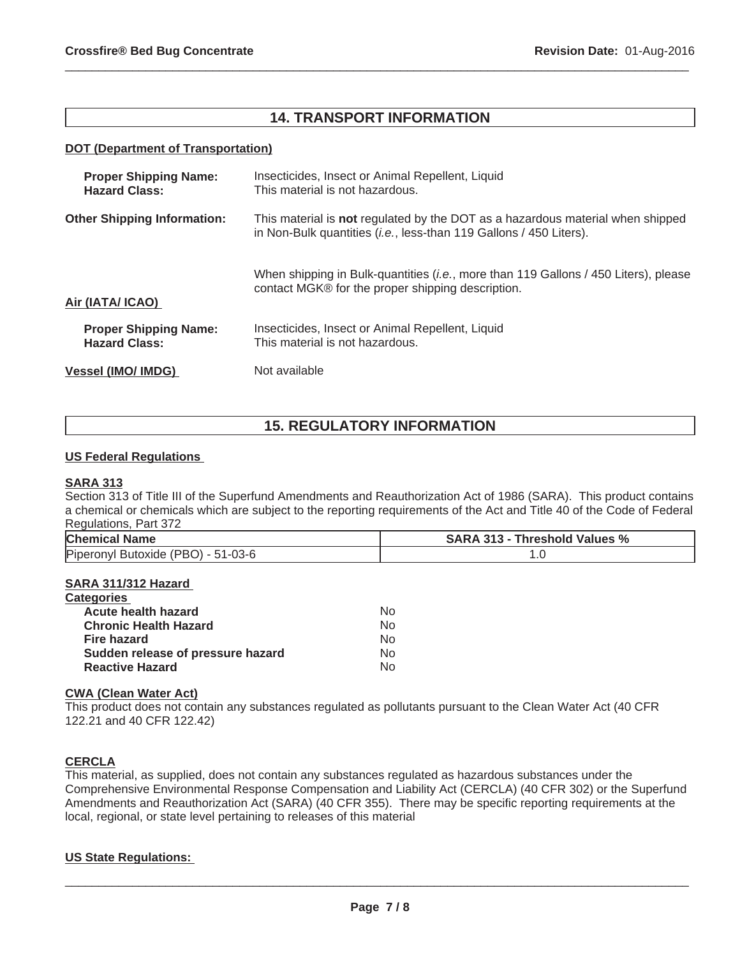## **14. TRANSPORT INFORMATION**

 $\_$  ,  $\_$  ,  $\_$  ,  $\_$  ,  $\_$  ,  $\_$  ,  $\_$  ,  $\_$  ,  $\_$  ,  $\_$  ,  $\_$  ,  $\_$  ,  $\_$  ,  $\_$  ,  $\_$  ,  $\_$  ,  $\_$  ,  $\_$  ,  $\_$  ,  $\_$  ,  $\_$  ,  $\_$  ,  $\_$  ,  $\_$  ,  $\_$  ,  $\_$  ,  $\_$  ,  $\_$  ,  $\_$  ,  $\_$  ,  $\_$  ,  $\_$  ,  $\_$  ,  $\_$  ,  $\_$  ,  $\_$  ,  $\_$  ,

#### **DOT (Department of Transportation)**

| <b>Proper Shipping Name:</b><br><b>Hazard Class:</b> | Insecticides, Insect or Animal Repellent, Liquid<br>This material is not hazardous.                                                                           |  |
|------------------------------------------------------|---------------------------------------------------------------------------------------------------------------------------------------------------------------|--|
| <b>Other Shipping Information:</b>                   | This material is not regulated by the DOT as a hazardous material when shipped<br>in Non-Bulk quantities ( <i>i.e.</i> , less-than 119 Gallons / 450 Liters). |  |
| Air (IATA/ ICAO)                                     | When shipping in Bulk-quantities ( <i>i.e.</i> , more than 119 Gallons / 450 Liters), please<br>contact MGK® for the proper shipping description.             |  |
| <b>Proper Shipping Name:</b><br><b>Hazard Class:</b> | Insecticides, Insect or Animal Repellent, Liquid<br>This material is not hazardous.                                                                           |  |
| <b>Vessel (IMO/ IMDG)</b>                            | Not available                                                                                                                                                 |  |

## **15. REGULATORY INFORMATION**

#### **US Federal Regulations**

#### **SARA 313**

Section 313 of Title III of the Superfund Amendments and Reauthorization Act of 1986 (SARA). This product contains a chemical or chemicals which are subject to the reporting requirements of the Act and Title 40 of the Code of Federal Regulations, Part 372

| <b>Chemical Name</b>               | <b>SARA 313 - Threshold Values %</b> |
|------------------------------------|--------------------------------------|
| Piperonyl Butoxide (PBO) - 51-03-6 |                                      |

### **SARA 311/312 Hazard**

| <b>Categories</b>                 |    |
|-----------------------------------|----|
| Acute health hazard               | N٥ |
| <b>Chronic Health Hazard</b>      | Nο |
| <b>Fire hazard</b>                | No |
| Sudden release of pressure hazard | No |
| <b>Reactive Hazard</b>            | N٥ |

### **CWA (Clean Water Act)**

This product does not contain any substances regulated as pollutants pursuant to the Clean Water Act (40 CFR 122.21 and 40 CFR 122.42)

### **CERCLA**

This material, as supplied, does not contain any substances regulated as hazardous substances under the Comprehensive Environmental Response Compensation and Liability Act (CERCLA) (40 CFR 302) or the Superfund Amendments and Reauthorization Act (SARA) (40 CFR 355). There may be specific reporting requirements at the local, regional, or state level pertaining to releases of this material

#### **US State Regulations:**